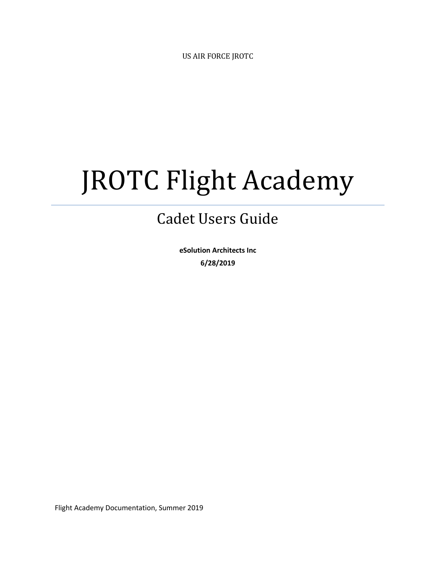US AIR FORCE JROTC

# JROTC Flight Academy

### Cadet Users Guide

**eSolution Architects Inc 6/28/2019**

Flight Academy Documentation, Summer 2019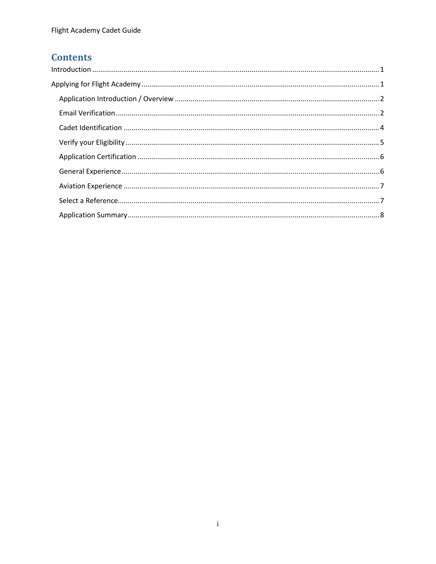#### **Contents**

| $\label{eq:1} \mbox{Introduction} \,\, \ldots \,\, \ldots \,\, \ldots \,\, \ldots \,\, \ldots \,\, \ldots \,\, \ldots \,\, \ldots \,\, \ldots \,\, \ldots \,\, \ldots \,\, \ldots \,\, \ldots \,\, \ldots \,\, \ldots \,\, \ldots \,\, \ldots \,\, \ldots \,\, \ldots \,\, \ldots \,\, \ldots \,\, \ldots \,\, \ldots \,\, \ldots \,\, \ldots \,\, \ldots \,\, \ldots \,\, \ldots \,\, \ldots \,\, \ldots \,\, \ldots \,\, \ldots \,\, \ldots \,\, \ldots \,\,$ |  |
|-----------------------------------------------------------------------------------------------------------------------------------------------------------------------------------------------------------------------------------------------------------------------------------------------------------------------------------------------------------------------------------------------------------------------------------------------------------------|--|
|                                                                                                                                                                                                                                                                                                                                                                                                                                                                 |  |
|                                                                                                                                                                                                                                                                                                                                                                                                                                                                 |  |
|                                                                                                                                                                                                                                                                                                                                                                                                                                                                 |  |
|                                                                                                                                                                                                                                                                                                                                                                                                                                                                 |  |
|                                                                                                                                                                                                                                                                                                                                                                                                                                                                 |  |
|                                                                                                                                                                                                                                                                                                                                                                                                                                                                 |  |
|                                                                                                                                                                                                                                                                                                                                                                                                                                                                 |  |
|                                                                                                                                                                                                                                                                                                                                                                                                                                                                 |  |
|                                                                                                                                                                                                                                                                                                                                                                                                                                                                 |  |
|                                                                                                                                                                                                                                                                                                                                                                                                                                                                 |  |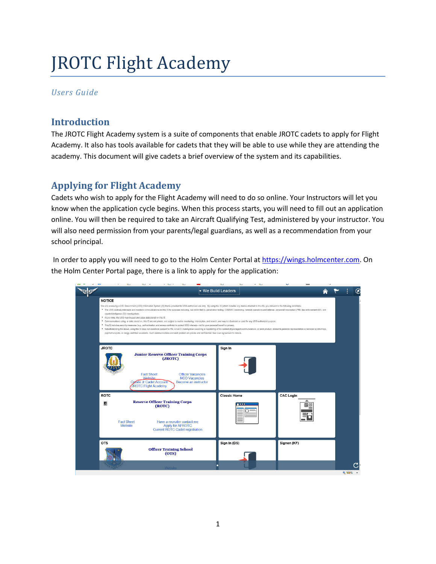## JROTC Flight Academy

#### *Users Guide*

#### <span id="page-2-0"></span>**Introduction**

The JROTC Flight Academy system is a suite of components that enable JROTC cadets to apply for Flight Academy. It also has tools available for cadets that they will be able to use while they are attending the academy. This document will give cadets a brief overview of the system and its capabilities.

#### <span id="page-2-1"></span>**Applying for Flight Academy**

Cadets who wish to apply for the Flight Academy will need to do so online. Your Instructors will let you know when the application cycle begins. When this process starts, you will need to fill out an application online. You will then be required to take an Aircraft Qualifying Test, administered by your instructor. You will also need permission from your parents/legal guardians, as well as a recommendation from your school principal.

In order to apply you will need to go to the Holm Center Portal at [https://wings.holmcenter.com.](https://wings.holmcenter.com/) On the Holm Center Portal page, there is a link to apply for the application:

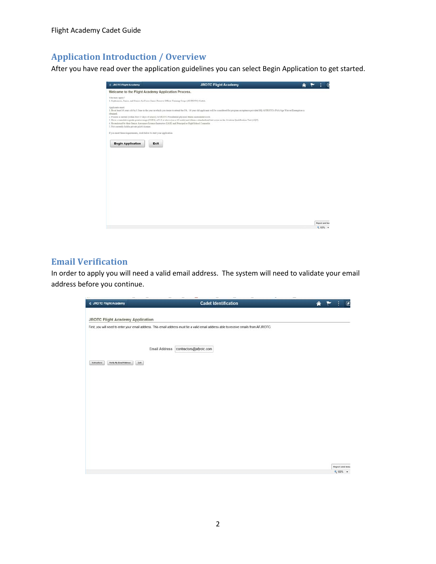Flight Academy Cadet Guide

#### <span id="page-3-0"></span>**Application Introduction / Overview**

After you have read over the application guidelines you can select Begin Application to get started.

| < JROTC Flight Academy                                                                                                                                      | <b>JROTC Flight Academy</b>                                                                                                                                                                                                                                                                                                                                                                                                                                                                                                                                                                                  |                |
|-------------------------------------------------------------------------------------------------------------------------------------------------------------|--------------------------------------------------------------------------------------------------------------------------------------------------------------------------------------------------------------------------------------------------------------------------------------------------------------------------------------------------------------------------------------------------------------------------------------------------------------------------------------------------------------------------------------------------------------------------------------------------------------|----------------|
|                                                                                                                                                             | Welcome to the Flight Academy Application Process.                                                                                                                                                                                                                                                                                                                                                                                                                                                                                                                                                           |                |
| Who may apply?                                                                                                                                              | I. Sophomore, Janior, and Senior Air Force Janior Reserve Officer Training Corps (AFJROTC) Cadets.                                                                                                                                                                                                                                                                                                                                                                                                                                                                                                           |                |
| Applicants must:<br>obtained.<br>5. Not currently bold a private pilot's license.<br>If you meet these requirements, click below to start your application. | I. Be at least 16 years old by 1 June in the year in which you desire to attend the FA. 16 year old applicants will be considered for program acceptance provided HQ AFIROTC's FAA Age Waiver Exemption is<br>2. Possess a current (within first 43 days of school) AFJROTC Presidential physical fitness assessment score.<br>3. Have a comulative grade point average (CGPA) of 3.0 or above (on a 4.0 scale) and obtain a standardized test score on the Aviation Qualification Test (AQT).<br>4. Be endorsed by their Senior Aerospace Science Instructor (SASI) and Principal or High School Counselor. |                |
| <b>Begin Application</b>                                                                                                                                    | Exit                                                                                                                                                                                                                                                                                                                                                                                                                                                                                                                                                                                                         |                |
|                                                                                                                                                             |                                                                                                                                                                                                                                                                                                                                                                                                                                                                                                                                                                                                              |                |
|                                                                                                                                                             |                                                                                                                                                                                                                                                                                                                                                                                                                                                                                                                                                                                                              |                |
|                                                                                                                                                             |                                                                                                                                                                                                                                                                                                                                                                                                                                                                                                                                                                                                              |                |
|                                                                                                                                                             |                                                                                                                                                                                                                                                                                                                                                                                                                                                                                                                                                                                                              | Report and Isa |
|                                                                                                                                                             |                                                                                                                                                                                                                                                                                                                                                                                                                                                                                                                                                                                                              | 气100% →        |

#### <span id="page-3-1"></span>**Email Verification**

In order to apply you will need a valid email address. The system will need to validate your email address before you continue.

| < JROTC Flight Academy                          | <b>Cadet Identification</b>                                                                                                             | $\mathcal{C}$<br>侖           |
|-------------------------------------------------|-----------------------------------------------------------------------------------------------------------------------------------------|------------------------------|
| JROTC Flight Academy Application                |                                                                                                                                         |                              |
|                                                 | First, you will need to enter your email address. This email address must be a valid email address able to receive emails from AFJROTC. |                              |
|                                                 |                                                                                                                                         |                              |
| Email Address                                   | contractors@afjrotc.com                                                                                                                 |                              |
| Est.<br>Verify My Email Address<br>Instructions |                                                                                                                                         |                              |
|                                                 |                                                                                                                                         |                              |
|                                                 |                                                                                                                                         |                              |
|                                                 |                                                                                                                                         |                              |
|                                                 |                                                                                                                                         |                              |
|                                                 |                                                                                                                                         |                              |
|                                                 |                                                                                                                                         |                              |
|                                                 |                                                                                                                                         |                              |
|                                                 |                                                                                                                                         |                              |
|                                                 |                                                                                                                                         |                              |
|                                                 |                                                                                                                                         | Report and Issue<br>A SAMA - |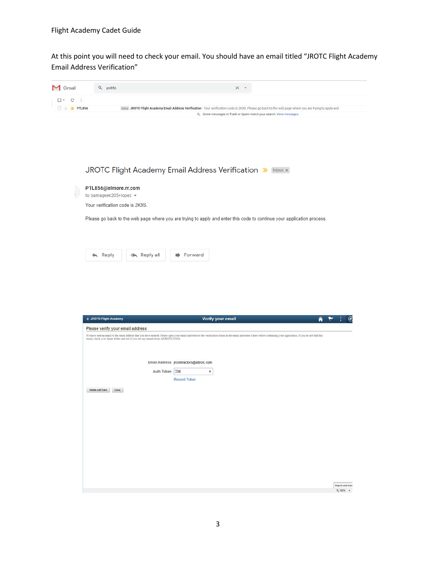At this point you will need to check your email. You should have an email titled "JROTC Flight Academy Email Address Verification"

| <b>M</b> Gmail             | Q pti856                         |                 |                                         | ×                                                                                                                                                                                                                              |   |
|----------------------------|----------------------------------|-----------------|-----------------------------------------|--------------------------------------------------------------------------------------------------------------------------------------------------------------------------------------------------------------------------------|---|
| $\ddot{\ddot{\cdot}}$<br>C |                                  |                 |                                         |                                                                                                                                                                                                                                |   |
| $\Box$ $\uparrow$ PTL856   |                                  |                 |                                         | Inbox JROTC Flight Academy Email Address Verification - Your verification code is 2K9S. Please go back to the web page where you are trying to apply and<br>Q Some messages in Trash or Spam match your search. View messages. |   |
|                            |                                  |                 |                                         |                                                                                                                                                                                                                                |   |
|                            |                                  |                 |                                         |                                                                                                                                                                                                                                |   |
|                            |                                  |                 |                                         |                                                                                                                                                                                                                                |   |
|                            |                                  |                 |                                         |                                                                                                                                                                                                                                |   |
|                            |                                  |                 |                                         |                                                                                                                                                                                                                                |   |
|                            |                                  |                 |                                         |                                                                                                                                                                                                                                |   |
|                            |                                  |                 |                                         |                                                                                                                                                                                                                                |   |
|                            |                                  |                 |                                         | JROTC Flight Academy Email Address Verification D Inbox x                                                                                                                                                                      |   |
|                            |                                  |                 |                                         |                                                                                                                                                                                                                                |   |
|                            | PTL856@elmore.rr.com             |                 |                                         |                                                                                                                                                                                                                                |   |
|                            | to bamageek205+lopez ▼           |                 |                                         |                                                                                                                                                                                                                                |   |
|                            | Your verification code is 2K9S.  |                 |                                         |                                                                                                                                                                                                                                |   |
|                            |                                  |                 |                                         |                                                                                                                                                                                                                                |   |
|                            |                                  |                 |                                         | Please go back to the web page where you are trying to apply and enter this code to continue your application process.                                                                                                         |   |
|                            |                                  |                 |                                         |                                                                                                                                                                                                                                |   |
|                            |                                  |                 |                                         |                                                                                                                                                                                                                                |   |
|                            |                                  |                 |                                         |                                                                                                                                                                                                                                |   |
|                            | Reply<br>ь                       | « Reply all     | Forward<br>➡                            |                                                                                                                                                                                                                                |   |
|                            |                                  |                 |                                         |                                                                                                                                                                                                                                |   |
|                            |                                  |                 |                                         |                                                                                                                                                                                                                                |   |
|                            |                                  |                 |                                         |                                                                                                                                                                                                                                |   |
|                            |                                  |                 |                                         |                                                                                                                                                                                                                                |   |
|                            |                                  |                 |                                         |                                                                                                                                                                                                                                |   |
|                            |                                  |                 |                                         |                                                                                                                                                                                                                                |   |
|                            |                                  |                 |                                         |                                                                                                                                                                                                                                |   |
|                            |                                  |                 |                                         |                                                                                                                                                                                                                                |   |
|                            |                                  |                 |                                         |                                                                                                                                                                                                                                |   |
|                            | < JROTC Flight Academy           |                 | Verify your email                       |                                                                                                                                                                                                                                | ◈ |
|                            |                                  |                 |                                         |                                                                                                                                                                                                                                |   |
|                            | Please verify your email address |                 |                                         |                                                                                                                                                                                                                                |   |
|                            |                                  |                 |                                         | We have sent an email to the email address that you have entered. Please open your email and retrieve the verification token in the email and enter it here before continuing your application. If you do not find this email, |   |
|                            |                                  |                 |                                         |                                                                                                                                                                                                                                |   |
|                            |                                  |                 |                                         |                                                                                                                                                                                                                                |   |
|                            |                                  |                 | Email Address jrcontractors@afjrotc.com |                                                                                                                                                                                                                                |   |
|                            |                                  | Auth Token 33it | ×                                       |                                                                                                                                                                                                                                |   |
|                            |                                  |                 | <b>Resend Token</b>                     |                                                                                                                                                                                                                                |   |
|                            | Validate Auth Token<br>Cancel    |                 |                                         |                                                                                                                                                                                                                                |   |
|                            |                                  |                 |                                         |                                                                                                                                                                                                                                |   |
|                            |                                  |                 |                                         |                                                                                                                                                                                                                                |   |
|                            |                                  |                 |                                         |                                                                                                                                                                                                                                |   |
|                            |                                  |                 |                                         |                                                                                                                                                                                                                                |   |
|                            |                                  |                 |                                         |                                                                                                                                                                                                                                |   |
|                            |                                  |                 |                                         |                                                                                                                                                                                                                                |   |
|                            |                                  |                 |                                         |                                                                                                                                                                                                                                |   |
|                            |                                  |                 |                                         |                                                                                                                                                                                                                                |   |
|                            |                                  |                 |                                         |                                                                                                                                                                                                                                |   |
|                            |                                  |                 |                                         |                                                                                                                                                                                                                                |   |
|                            |                                  |                 |                                         |                                                                                                                                                                                                                                |   |
|                            |                                  |                 |                                         |                                                                                                                                                                                                                                |   |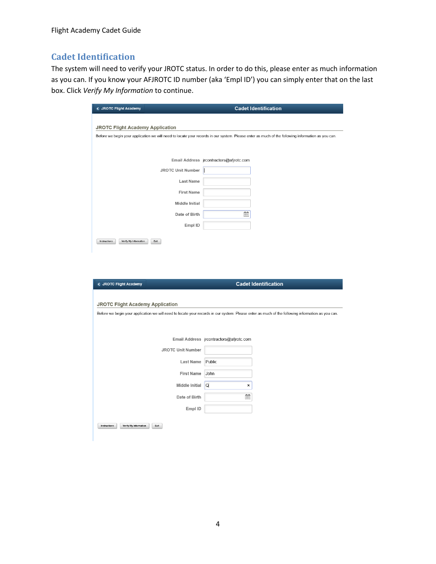#### <span id="page-5-0"></span>**Cadet Identification**

The system will need to verify your JROTC status. In order to do this, please enter as much information as you can. If you know your AFJROTC ID number (aka 'Empl ID') you can simply enter that on the last box. Click *Verify My Information* to continue.

| <b>&lt; JROTC Flight Academy</b>        |                          | <b>Cadet Identification</b>                                                                                                                       |
|-----------------------------------------|--------------------------|---------------------------------------------------------------------------------------------------------------------------------------------------|
|                                         |                          |                                                                                                                                                   |
| <b>JROTC Flight Academy Application</b> |                          |                                                                                                                                                   |
|                                         |                          | Before we begin your application we will need to locate your records in our system. Please enter as much of the following information as you can. |
|                                         |                          |                                                                                                                                                   |
|                                         |                          |                                                                                                                                                   |
|                                         |                          | Email Address jrcontractors@afjrotc.com                                                                                                           |
|                                         | <b>JROTC Unit Number</b> |                                                                                                                                                   |
|                                         | Last Name                |                                                                                                                                                   |
|                                         | <b>First Name</b>        |                                                                                                                                                   |
|                                         | <b>Middle Initial</b>    |                                                                                                                                                   |
|                                         | Date of Birth            | 爾                                                                                                                                                 |
|                                         | Empl ID                  |                                                                                                                                                   |
|                                         |                          |                                                                                                                                                   |
| Instructions<br>Verify My Information   | Exit                     |                                                                                                                                                   |
|                                         |                          |                                                                                                                                                   |
|                                         |                          |                                                                                                                                                   |
|                                         |                          |                                                                                                                                                   |
| < JROTC Flight Academy                  |                          | <b>Cadet Identification</b>                                                                                                                       |

| <b>JROTC Flight Academy Application</b>                                                                                                           |                                         |  |
|---------------------------------------------------------------------------------------------------------------------------------------------------|-----------------------------------------|--|
| Before we begin your application we will need to locate your records in our system. Please enter as much of the following information as you can. |                                         |  |
|                                                                                                                                                   |                                         |  |
|                                                                                                                                                   | Email Address jrcontractors@afjrotc.com |  |
| <b>JROTC Unit Number</b>                                                                                                                          |                                         |  |
| <b>Last Name</b>                                                                                                                                  | Public                                  |  |
| <b>First Name</b>                                                                                                                                 | John                                    |  |
| <b>Middle Initial</b>                                                                                                                             | Q<br>×                                  |  |
| Date of Birth                                                                                                                                     | 崗                                       |  |
| Empl ID                                                                                                                                           |                                         |  |
| Instructions<br>Verify My Information<br>Exit                                                                                                     |                                         |  |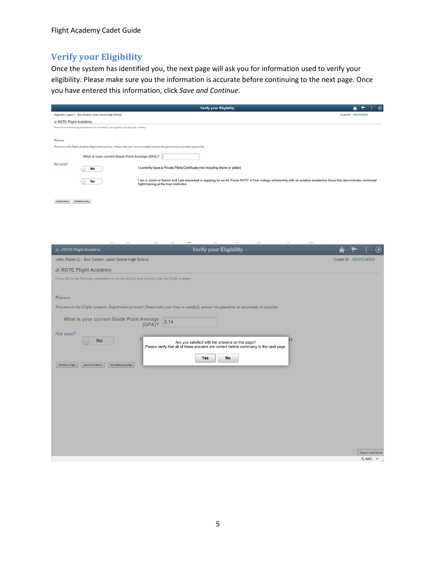#### <span id="page-6-0"></span>**Verify your Eligibility**

Once the system has identified you, the next page will ask you for information used to verify your eligibility. Please make sure you the information is accurate before continuing to the next page. Once you have entered this information, click *Save and Continue*.

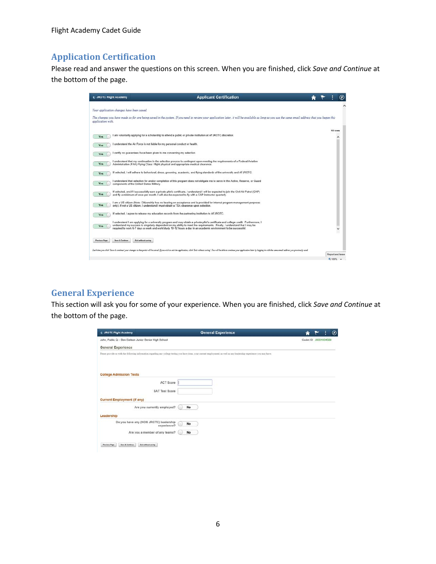Flight Academy Cadet Guide

#### <span id="page-7-0"></span>**Application Certification**

Please read and answer the questions on this screen. When you are finished, click *Save and Continue* at the bottom of the page.

| < JROTC Flight Academy                                                    | <b>Applicant Certification</b>                                                                                                                                                                                                                                                                                                                                                     |  |                  | $_{\odot}$ |
|---------------------------------------------------------------------------|------------------------------------------------------------------------------------------------------------------------------------------------------------------------------------------------------------------------------------------------------------------------------------------------------------------------------------------------------------------------------------|--|------------------|------------|
| Your application changes have been saved.                                 |                                                                                                                                                                                                                                                                                                                                                                                    |  |                  | $\sim$     |
| application with.                                                         | The changes you have made to far are being saved in the system. If you need to review your application later, it will be available as long as you use the same email address that you began this                                                                                                                                                                                   |  |                  |            |
| Yes                                                                       | I am voluntarily applying for a scholarship to attend a public or private institution at AFJROTC discretion.                                                                                                                                                                                                                                                                       |  | 10 rows          |            |
| Yes                                                                       | understand the Air Force is not liable for my personal conduct or health.                                                                                                                                                                                                                                                                                                          |  |                  |            |
| Yes                                                                       | I certify no guarantees have been given to me concerning my selection.                                                                                                                                                                                                                                                                                                             |  |                  |            |
| Yes                                                                       | I understand that my continuation in the selection process is contingent upon meeting the requirements of a Federal Aviation<br>Administration (FAA) Flying Class I flight physical and appropriate medical clearance.                                                                                                                                                             |  |                  |            |
| Yes                                                                       | If selected. I will adhere to behavioral, dress, grooming, academic, and flying standards of the university and AFJROTC.                                                                                                                                                                                                                                                           |  |                  |            |
| Yes<br>components of the United States Military.                          | I understand that selection for and/or completion of this program does not obligate me to serve in the Active. Reserve, or Guard                                                                                                                                                                                                                                                   |  |                  |            |
| Yes                                                                       | If selected, and if I successfully earn a private pilot's certificate, I understand I will be expected to join the Civil Air Patrol (CAP)<br>and fly a minimum of once per month. I will also be expected to fly with a CAP instructor quarterly.                                                                                                                                  |  |                  |            |
| <b>Yes</b>                                                                | I am a US citizen (Note: Citizenship has no bearing on acceptance and is provided for internal program management purposes<br>only). If not a US citizen, I understand I must obtain a TSA clearance upon selection.                                                                                                                                                               |  |                  |            |
| Yes.                                                                      | If selected. I agree to release my education records from the partnering institution to AFJROTC.                                                                                                                                                                                                                                                                                   |  |                  |            |
| Yes                                                                       | I understand I am applying for a university program and may obtain a private pilot's certificate and college credit. Furthermore, I<br>understand my success is singularly dependent on my ability to meet the requirements. Finally, I understand that I may be<br>required to work 6-7 days a week and work/study 10-12 hours a day in an academic environment to be successful. |  |                  |            |
| Exit without saving<br><b>Previous Page</b><br><b>Save &amp; Continue</b> |                                                                                                                                                                                                                                                                                                                                                                                    |  |                  |            |
|                                                                           | Each time you click 'Says & continua' your charges to that point will be seved. If you with to and the application, click 'Extr without saying'. Fou will be able to continue your application later by logging in with the sa                                                                                                                                                     |  | Report and Issue |            |
|                                                                           |                                                                                                                                                                                                                                                                                                                                                                                    |  | 电 100%           | $\cdot$    |

#### <span id="page-7-1"></span>**General Experience**

This section will ask you for some of your experience. When you are finished, click *Save and Continue* at the bottom of the page.

| < JROTC Flight Academy                                  | <b>General Experience</b>                                                                                                                                                 |                      |  | ◉ |
|---------------------------------------------------------|---------------------------------------------------------------------------------------------------------------------------------------------------------------------------|----------------------|--|---|
| John, Public Q - Ben Eielson Junior Senior High School  |                                                                                                                                                                           | Cadet ID J0001034588 |  |   |
| <b>General Experience</b>                               |                                                                                                                                                                           |                      |  |   |
|                                                         | Please provide us with the following information regarding any college testing you have done, your current employment, as well as any leadership experience you may have: |                      |  |   |
|                                                         |                                                                                                                                                                           |                      |  |   |
| <b>College Admission Tests</b>                          |                                                                                                                                                                           |                      |  |   |
| <b>ACT Score</b>                                        |                                                                                                                                                                           |                      |  |   |
| <b>SAT Test Score</b>                                   |                                                                                                                                                                           |                      |  |   |
| <b>Current Employment (if any)</b>                      |                                                                                                                                                                           |                      |  |   |
| Are you currently employed?                             | No                                                                                                                                                                        |                      |  |   |
| Leadership                                              |                                                                                                                                                                           |                      |  |   |
| Do you have any (NON JROTC) leadership<br>experience?   | No                                                                                                                                                                        |                      |  |   |
| Are you a member of any teams?                          | No                                                                                                                                                                        |                      |  |   |
| Save & Continue<br>Exit without saving<br>Previous Page |                                                                                                                                                                           |                      |  |   |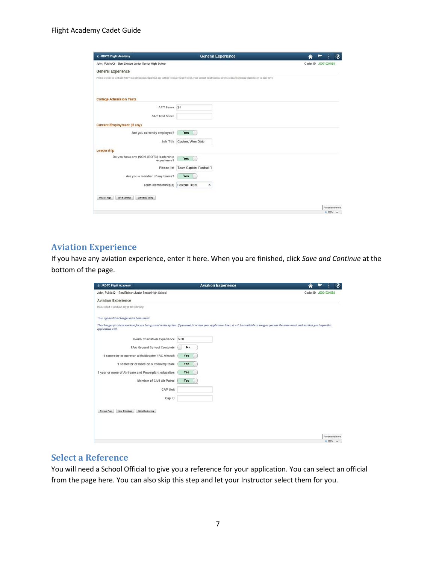| < JROTC Flight Academy                                             | <b>General Experience</b>                                                                                                                                                 | $\circledcirc$          |
|--------------------------------------------------------------------|---------------------------------------------------------------------------------------------------------------------------------------------------------------------------|-------------------------|
| John, Public Q - Ben Eielson Junior Senior High School             |                                                                                                                                                                           | Cadet ID 30001034588    |
| <b>General Experience</b>                                          |                                                                                                                                                                           |                         |
|                                                                    | Please provide us with the following information regarding any college testing you have done, your current employment, as well as any leadership experience you may have: |                         |
| <b>College Admission Tests</b>                                     |                                                                                                                                                                           |                         |
| ACT Score                                                          | 21                                                                                                                                                                        |                         |
| <b>SAT Test Score</b>                                              |                                                                                                                                                                           |                         |
| <b>Current Employment (if any)</b>                                 |                                                                                                                                                                           |                         |
| Are you currently employed?                                        | Yes                                                                                                                                                                       |                         |
| Job Title                                                          | Cashier, Winn Dixie                                                                                                                                                       |                         |
| Leadership                                                         |                                                                                                                                                                           |                         |
| Do you have any (NON JROTC) leadership                             | Yes                                                                                                                                                                       |                         |
| experience?<br>Please list                                         | Team Captain, Football 1                                                                                                                                                  |                         |
|                                                                    |                                                                                                                                                                           |                         |
| Are you a member of any teams?                                     | Yes                                                                                                                                                                       |                         |
| <b>Team Membership(s)</b>                                          | Football Team<br>×                                                                                                                                                        |                         |
|                                                                    |                                                                                                                                                                           |                         |
| <b>Save &amp; Continue</b><br>Exit without saving<br>Previous Page |                                                                                                                                                                           |                         |
|                                                                    |                                                                                                                                                                           | <b>Report and Issue</b> |
|                                                                    |                                                                                                                                                                           | ★ 100% →                |

#### <span id="page-8-0"></span>**Aviation Experience**

If you have any aviation experience, enter it here. When you are finished, click *Save and Continue* at the bottom of the page.

| < JROTC Flight Academy                                         | <b>Aviation Experience</b>                                                                                                                                                                       | ◉                            |
|----------------------------------------------------------------|--------------------------------------------------------------------------------------------------------------------------------------------------------------------------------------------------|------------------------------|
| John, Public Q - Ben Eielson Junior Senior High School         |                                                                                                                                                                                                  | Cadet ID J0001034588         |
| <b>Aviation Experience</b>                                     |                                                                                                                                                                                                  |                              |
| Please select if you have any of the following:                |                                                                                                                                                                                                  |                              |
| Your application changes have been saved.                      |                                                                                                                                                                                                  |                              |
| application with.                                              | The changes you have made so far are being saved in the system. If you need to review your application later, it will be available as long as you use the same email address that you began this |                              |
| Hours of aviation experience                                   | 6.00                                                                                                                                                                                             |                              |
| FAA Ground School Complete                                     | No                                                                                                                                                                                               |                              |
| 1 semester or more on a Multicopter / RC Aircraft              | Yes                                                                                                                                                                                              |                              |
| 1 semester or more on a Rocketry team                          | Yes                                                                                                                                                                                              |                              |
| 1 year or more of Airframe and Powerplant education            | Yes                                                                                                                                                                                              |                              |
| Member of Civil Air Patrol                                     | Yes                                                                                                                                                                                              |                              |
| CAP Unit                                                       |                                                                                                                                                                                                  |                              |
| Cap ID                                                         |                                                                                                                                                                                                  |                              |
| Save & Continue<br>Exit without saving<br><b>Previous Page</b> |                                                                                                                                                                                                  |                              |
|                                                                |                                                                                                                                                                                                  |                              |
|                                                                |                                                                                                                                                                                                  |                              |
|                                                                |                                                                                                                                                                                                  |                              |
|                                                                |                                                                                                                                                                                                  | Report and Issue<br>● 100% → |

#### <span id="page-8-1"></span>**Select a Reference**

You will need a School Official to give you a reference for your application. You can select an official from the page here. You can also skip this step and let your Instructor select them for you.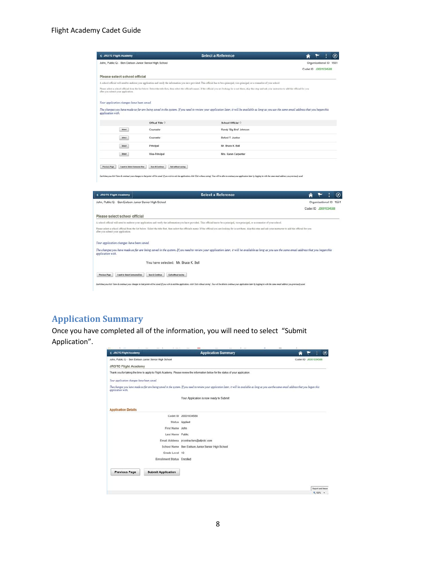| < JROTC Flight Academy             |                                                        |                                              | <b>Select a Reference</b>                                                                                                                                                                                                                             |                        |
|------------------------------------|--------------------------------------------------------|----------------------------------------------|-------------------------------------------------------------------------------------------------------------------------------------------------------------------------------------------------------------------------------------------------------|------------------------|
|                                    | John, Public Q - Ben Eielson Junior Senior High School |                                              |                                                                                                                                                                                                                                                       | Organizational ID 1551 |
|                                    |                                                        |                                              |                                                                                                                                                                                                                                                       | Cadet ID J0001034588   |
|                                    | Please select school official                          |                                              |                                                                                                                                                                                                                                                       |                        |
|                                    |                                                        |                                              | A school official will need to endorse your application and verify the information you have provided. This official has to be a principal, vice-principal, or a cousselor of your school.                                                             |                        |
| after you submit your application. |                                                        |                                              | Please select a school official from the list below. Select the title first, then select the official's name. If the official you are looking for is not there, skip this step and mk your instructor to add the official for                         |                        |
|                                    | Your application changes have been saved.              |                                              |                                                                                                                                                                                                                                                       |                        |
| application with.                  |                                                        |                                              | The changes you have made so far are being saved in the system. If you need to review your application later, it will be available as long as you use the same email address that you began this                                                      |                        |
|                                    |                                                        | Offical Title C                              | School Official C                                                                                                                                                                                                                                     |                        |
|                                    | Select                                                 | Counselor                                    | Randy 'Big Bird' Johnson                                                                                                                                                                                                                              |                        |
|                                    | Select                                                 | Counselor                                    | <b>Buford T. Justice</b>                                                                                                                                                                                                                              |                        |
|                                    | Select                                                 | Principal                                    | Mr. Bruce K. Bell                                                                                                                                                                                                                                     |                        |
|                                    |                                                        |                                              | Mrs. Karen Carpenter                                                                                                                                                                                                                                  |                        |
| <b>Previous Page</b>               | Select<br>I want to Select Someone Else                | Vice-Principal<br><b>Save &amp; Continue</b> | Exit without saving<br>Each time you slick 'Sou do continue' your charges to that point will be seved Yyou with to anit the application, ellek 'Exit without sering'. Tou will be able to continue your application later by legging in with the same |                        |
|                                    |                                                        |                                              |                                                                                                                                                                                                                                                       |                        |
| < JROTG Flight Academy             |                                                        |                                              | <b>Select a Reference</b>                                                                                                                                                                                                                             | €                      |
|                                    | John, Public Q - Ben Eielson Junior Senior High School |                                              |                                                                                                                                                                                                                                                       | Organizational ID 1551 |
|                                    |                                                        |                                              |                                                                                                                                                                                                                                                       | Cadet ID J0001034588   |
|                                    | Please select school official                          |                                              |                                                                                                                                                                                                                                                       |                        |
|                                    |                                                        |                                              | A school official will need to endorse your application and verify the information you have provided. This official has to be a principal, vice-principal, or a counselor of your school.                                                             |                        |
|                                    |                                                        |                                              | Please select a school official from the list below. Select the title first, then select the official's name. If the official you are looking for is not there, skip this step and ask your instructor to add the official for                        |                        |
| after you submit your application. | Your application changes have been saved.              |                                              |                                                                                                                                                                                                                                                       |                        |
| application with.                  |                                                        |                                              | The changes you have made so far are being saved in the system. If you need to review your application later, it will be available as long as you use the same email address that you began this                                                      |                        |
|                                    |                                                        |                                              | You have selected: Mr. Bruce K. Bell                                                                                                                                                                                                                  |                        |
| Previous Page                      | I want to Select Someone Else                          | Save & Continue                              | Exit without saving                                                                                                                                                                                                                                   |                        |

#### <span id="page-9-0"></span>**Application Summary**

Once you have completed all of the information, you will need to select "Submit Application".

| < JROTC Flight Academy                                 |                            | <b>Application Summary</b>                                                                                                                                                                       | $^\circledR$         |
|--------------------------------------------------------|----------------------------|--------------------------------------------------------------------------------------------------------------------------------------------------------------------------------------------------|----------------------|
| John, Public Q - Ben Eielson Junior Senior High School |                            |                                                                                                                                                                                                  | Cadet ID J0001034588 |
| <b>JROTC Flight Academy</b>                            |                            |                                                                                                                                                                                                  |                      |
|                                                        |                            | Thank you for taking the time to apply to Flight Academy. Please review the information below for the status of your application.                                                                |                      |
| Your application changes have been saved.              |                            |                                                                                                                                                                                                  |                      |
| application with.                                      |                            | The changes you have made so far are being saved in the system. If you need to review your application later, it will be available as long as you use the same email address that you began this |                      |
|                                                        |                            | Your Application is now ready to Submit                                                                                                                                                          |                      |
| <b>Application Details</b>                             |                            |                                                                                                                                                                                                  |                      |
|                                                        |                            | Cadet ID J0001034588                                                                                                                                                                             |                      |
|                                                        |                            | Status Applied                                                                                                                                                                                   |                      |
|                                                        | First Name John            |                                                                                                                                                                                                  |                      |
|                                                        | Last Name Public           |                                                                                                                                                                                                  |                      |
|                                                        |                            | Email Address jrcontractors@afirotc.com                                                                                                                                                          |                      |
|                                                        |                            | School Name Ben Eielson Junior Senior High School                                                                                                                                                |                      |
|                                                        | Grade Level 10             |                                                                                                                                                                                                  |                      |
|                                                        | Enrollment Status Enrolled |                                                                                                                                                                                                  |                      |
| <b>Previous Page</b>                                   | <b>Submit Application</b>  |                                                                                                                                                                                                  |                      |
|                                                        |                            |                                                                                                                                                                                                  |                      |
|                                                        |                            |                                                                                                                                                                                                  | Report and Issue     |
|                                                        |                            |                                                                                                                                                                                                  | 气100%~               |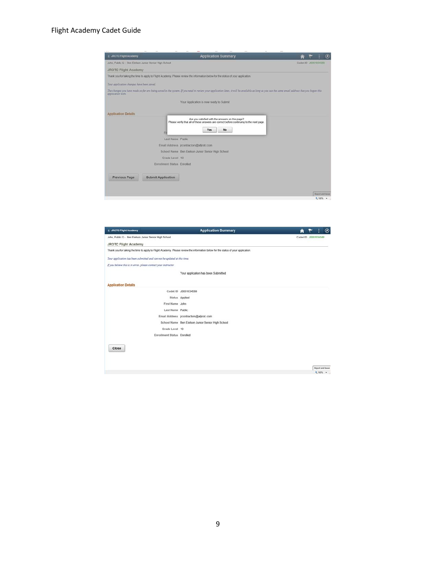#### Flight Academy Cadet Guide

| <b>&lt; JROTC Flight Academy</b>                       |                            | <b>Application Summary</b>                                                                                                                                                                       |                      |
|--------------------------------------------------------|----------------------------|--------------------------------------------------------------------------------------------------------------------------------------------------------------------------------------------------|----------------------|
| John, Public Q - Ben Eielson Junior Servor High School |                            |                                                                                                                                                                                                  | Cadet ID 30001034588 |
| <b>JROTC Flight Academy</b>                            |                            |                                                                                                                                                                                                  |                      |
|                                                        |                            | Thank you for taking the time to apply to Flight Academy. Please review the information below for the status of your application.                                                                |                      |
| Your application changes have been saved.              |                            |                                                                                                                                                                                                  |                      |
| aimlication with                                       |                            | The changes you have made so far are being saved in the system. If you need to review your application later, it will be available as long as you use the same email address that you began this |                      |
|                                                        |                            | Your Application is now ready to Submit                                                                                                                                                          |                      |
| <b>Application Details</b>                             |                            |                                                                                                                                                                                                  |                      |
|                                                        |                            | Are you satisfied with the answers on this page?<br>Please verify that all of these answers are correct before continuing to the next page.<br>Yes<br>No                                         |                      |
|                                                        | Last Name Public           |                                                                                                                                                                                                  |                      |
|                                                        |                            | Email Address (rcontractors@afirotc.com)                                                                                                                                                         |                      |
|                                                        |                            | School Name Ben Eielson Junior Senior High School                                                                                                                                                |                      |
|                                                        | Grade Level 10             |                                                                                                                                                                                                  |                      |
|                                                        | Enrollment Status Enrolled |                                                                                                                                                                                                  |                      |
| <b>Previous Page</b>                                   | <b>Submit Application</b>  |                                                                                                                                                                                                  |                      |
|                                                        |                            |                                                                                                                                                                                                  |                      |
|                                                        |                            |                                                                                                                                                                                                  | Report and Issue     |
|                                                        |                            |                                                                                                                                                                                                  | 气100%~               |

| Cadet ID J0001034588<br>Your application has been Submitted<br>Cadet ID J0001034588<br>Status Applied<br>First Name John<br>Last Name Public<br>Email Address jrcontractors@afirotc.com<br>School Name Ben Eielson Junior Senior High School<br>Grade Level 10<br>Enrollment Status Enrolled<br>Close | <b>&lt; JROTC Flight Academy</b>                       | <b>Application Summary</b> |  | $^{\circ}$                  |
|-------------------------------------------------------------------------------------------------------------------------------------------------------------------------------------------------------------------------------------------------------------------------------------------------------|--------------------------------------------------------|----------------------------|--|-----------------------------|
|                                                                                                                                                                                                                                                                                                       | John, Public Q - Ben Eielson Junior Senior High School |                            |  |                             |
| Thank you for taking the time to apply to Flight Academy. Please review the information below for the status of your application.<br>Your application has been submitted and can not be updated at this time.<br>If you believe this is in error, please contact your instructor                      | <b>JROTC Flight Academy</b>                            |                            |  |                             |
|                                                                                                                                                                                                                                                                                                       |                                                        |                            |  |                             |
|                                                                                                                                                                                                                                                                                                       |                                                        |                            |  |                             |
|                                                                                                                                                                                                                                                                                                       |                                                        |                            |  |                             |
|                                                                                                                                                                                                                                                                                                       |                                                        |                            |  |                             |
|                                                                                                                                                                                                                                                                                                       | <b>Application Details</b>                             |                            |  |                             |
|                                                                                                                                                                                                                                                                                                       |                                                        |                            |  |                             |
|                                                                                                                                                                                                                                                                                                       |                                                        |                            |  |                             |
|                                                                                                                                                                                                                                                                                                       |                                                        |                            |  |                             |
|                                                                                                                                                                                                                                                                                                       |                                                        |                            |  |                             |
|                                                                                                                                                                                                                                                                                                       |                                                        |                            |  |                             |
|                                                                                                                                                                                                                                                                                                       |                                                        |                            |  |                             |
|                                                                                                                                                                                                                                                                                                       |                                                        |                            |  |                             |
|                                                                                                                                                                                                                                                                                                       |                                                        |                            |  |                             |
|                                                                                                                                                                                                                                                                                                       |                                                        |                            |  |                             |
|                                                                                                                                                                                                                                                                                                       |                                                        |                            |  |                             |
|                                                                                                                                                                                                                                                                                                       |                                                        |                            |  |                             |
|                                                                                                                                                                                                                                                                                                       |                                                        |                            |  |                             |
|                                                                                                                                                                                                                                                                                                       |                                                        |                            |  | Report and Issue<br>#100% · |